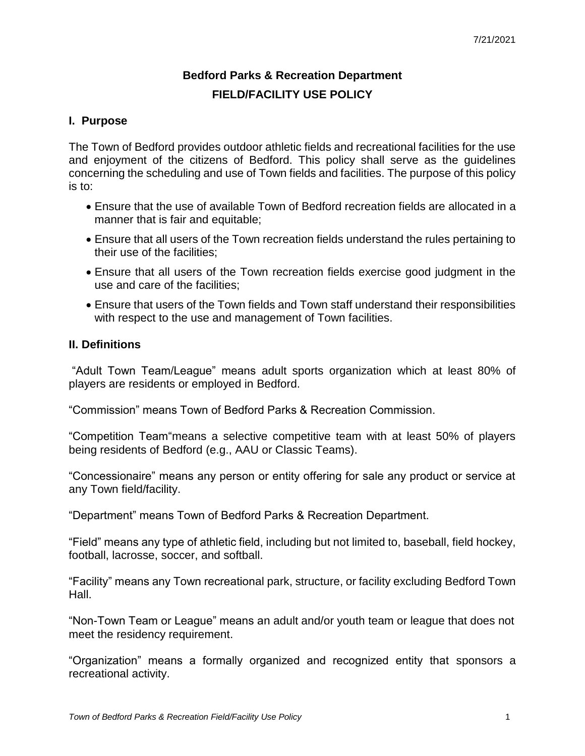# **Bedford Parks & Recreation Department FIELD/FACILITY USE POLICY**

# **I. Purpose**

The Town of Bedford provides outdoor athletic fields and recreational facilities for the use and enjoyment of the citizens of Bedford. This policy shall serve as the guidelines concerning the scheduling and use of Town fields and facilities. The purpose of this policy is to:

- Ensure that the use of available Town of Bedford recreation fields are allocated in a manner that is fair and equitable;
- Ensure that all users of the Town recreation fields understand the rules pertaining to their use of the facilities;
- Ensure that all users of the Town recreation fields exercise good judgment in the use and care of the facilities;
- Ensure that users of the Town fields and Town staff understand their responsibilities with respect to the use and management of Town facilities.

## **II. Definitions**

"Adult Town Team/League" means adult sports organization which at least 80% of players are residents or employed in Bedford.

"Commission" means Town of Bedford Parks & Recreation Commission.

"Competition Team"means a selective competitive team with at least 50% of players being residents of Bedford (e.g., AAU or Classic Teams).

"Concessionaire" means any person or entity offering for sale any product or service at any Town field/facility.

"Department" means Town of Bedford Parks & Recreation Department.

"Field" means any type of athletic field, including but not limited to, baseball, field hockey, football, lacrosse, soccer, and softball.

"Facility" means any Town recreational park, structure, or facility excluding Bedford Town Hall.

"Non-Town Team or League" means an adult and/or youth team or league that does not meet the residency requirement.

"Organization" means a formally organized and recognized entity that sponsors a recreational activity.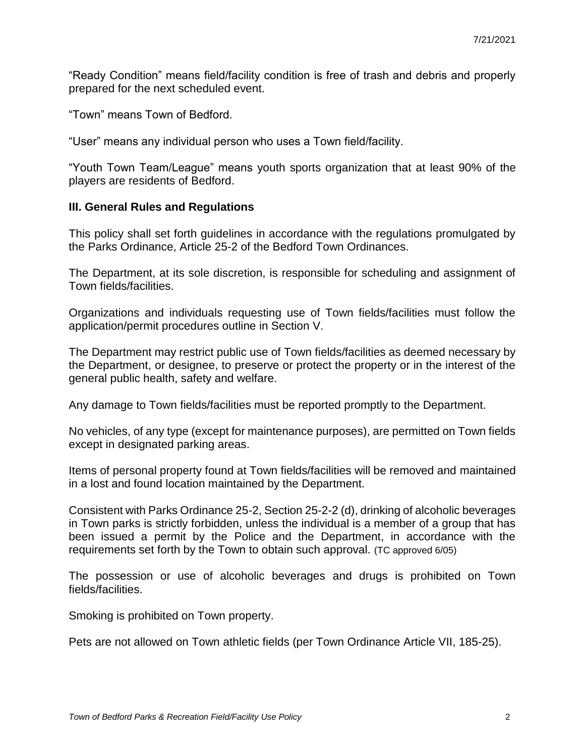"Ready Condition" means field/facility condition is free of trash and debris and properly prepared for the next scheduled event.

"Town" means Town of Bedford.

"User" means any individual person who uses a Town field/facility.

"Youth Town Team/League" means youth sports organization that at least 90% of the players are residents of Bedford.

#### **III. General Rules and Regulations**

This policy shall set forth guidelines in accordance with the regulations promulgated by the Parks Ordinance, Article 25-2 of the Bedford Town Ordinances.

The Department, at its sole discretion, is responsible for scheduling and assignment of Town fields/facilities.

Organizations and individuals requesting use of Town fields/facilities must follow the application/permit procedures outline in Section V.

The Department may restrict public use of Town fields/facilities as deemed necessary by the Department, or designee, to preserve or protect the property or in the interest of the general public health, safety and welfare.

Any damage to Town fields/facilities must be reported promptly to the Department.

No vehicles, of any type (except for maintenance purposes), are permitted on Town fields except in designated parking areas.

Items of personal property found at Town fields/facilities will be removed and maintained in a lost and found location maintained by the Department.

Consistent with Parks Ordinance 25-2, Section 25-2-2 (d), drinking of alcoholic beverages in Town parks is strictly forbidden, unless the individual is a member of a group that has been issued a permit by the Police and the Department, in accordance with the requirements set forth by the Town to obtain such approval. (TC approved 6/05)

The possession or use of alcoholic beverages and drugs is prohibited on Town fields/facilities.

Smoking is prohibited on Town property.

Pets are not allowed on Town athletic fields (per Town Ordinance Article VII, 185-25).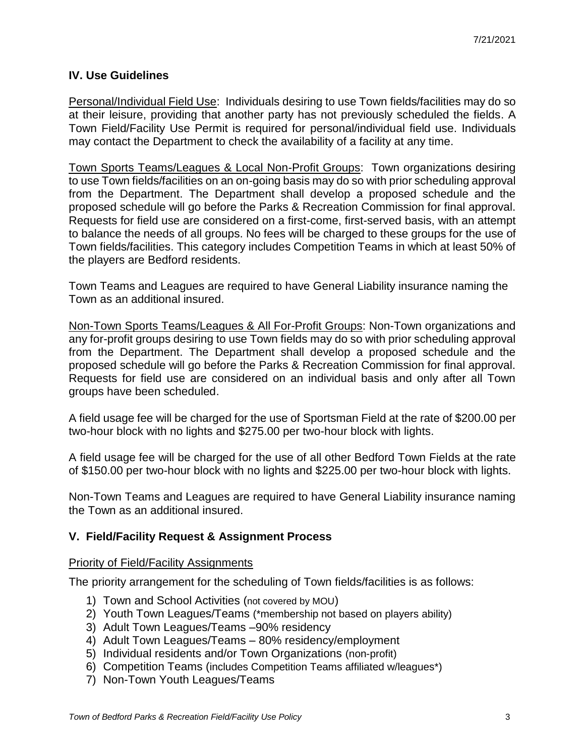## **IV. Use Guidelines**

Personal/Individual Field Use: Individuals desiring to use Town fields/facilities may do so at their leisure, providing that another party has not previously scheduled the fields. A Town Field/Facility Use Permit is required for personal/individual field use. Individuals may contact the Department to check the availability of a facility at any time.

Town Sports Teams/Leagues & Local Non-Profit Groups: Town organizations desiring to use Town fields/facilities on an on-going basis may do so with prior scheduling approval from the Department. The Department shall develop a proposed schedule and the proposed schedule will go before the Parks & Recreation Commission for final approval. Requests for field use are considered on a first-come, first-served basis, with an attempt to balance the needs of all groups. No fees will be charged to these groups for the use of Town fields/facilities. This category includes Competition Teams in which at least 50% of the players are Bedford residents.

Town Teams and Leagues are required to have General Liability insurance naming the Town as an additional insured.

Non-Town Sports Teams/Leagues & All For-Profit Groups: Non-Town organizations and any for-profit groups desiring to use Town fields may do so with prior scheduling approval from the Department. The Department shall develop a proposed schedule and the proposed schedule will go before the Parks & Recreation Commission for final approval. Requests for field use are considered on an individual basis and only after all Town groups have been scheduled.

A field usage fee will be charged for the use of Sportsman Field at the rate of \$200.00 per two-hour block with no lights and \$275.00 per two-hour block with lights.

A field usage fee will be charged for the use of all other Bedford Town Fields at the rate of \$150.00 per two-hour block with no lights and \$225.00 per two-hour block with lights.

Non-Town Teams and Leagues are required to have General Liability insurance naming the Town as an additional insured.

#### **V. Field/Facility Request & Assignment Process**

#### Priority of Field/Facility Assignments

The priority arrangement for the scheduling of Town fields/facilities is as follows:

- 1) Town and School Activities (not covered by MOU)
- 2) Youth Town Leagues/Teams (\*membership not based on players ability)
- 3) Adult Town Leagues/Teams –90% residency
- 4) Adult Town Leagues/Teams 80% residency/employment
- 5) Individual residents and/or Town Organizations (non-profit)
- 6) Competition Teams (includes Competition Teams affiliated w/leagues\*)
- 7) Non-Town Youth Leagues/Teams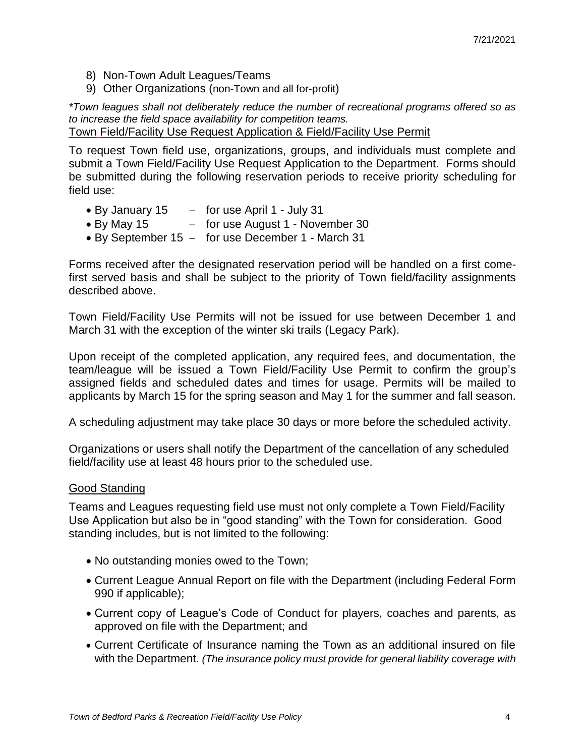- 8) Non-Town Adult Leagues/Teams
- 9) Other Organizations (non-Town and all for-profit)

*\*Town leagues shall not deliberately reduce the number of recreational programs offered so as to increase the field space availability for competition teams.*

Town Field/Facility Use Request Application & Field/Facility Use Permit

To request Town field use, organizations, groups, and individuals must complete and submit a Town Field/Facility Use Request Application to the Department. Forms should be submitted during the following reservation periods to receive priority scheduling for field use:

- $\bullet$  By January 15  $-$  for use April 1 July 31
- By May 15 for use August 1 November 30
- $\bullet$  By September 15 for use December 1 March 31

Forms received after the designated reservation period will be handled on a first comefirst served basis and shall be subject to the priority of Town field/facility assignments described above.

Town Field/Facility Use Permits will not be issued for use between December 1 and March 31 with the exception of the winter ski trails (Legacy Park).

Upon receipt of the completed application, any required fees, and documentation, the team/league will be issued a Town Field/Facility Use Permit to confirm the group's assigned fields and scheduled dates and times for usage. Permits will be mailed to applicants by March 15 for the spring season and May 1 for the summer and fall season.

A scheduling adjustment may take place 30 days or more before the scheduled activity.

Organizations or users shall notify the Department of the cancellation of any scheduled field/facility use at least 48 hours prior to the scheduled use.

#### Good Standing

Teams and Leagues requesting field use must not only complete a Town Field/Facility Use Application but also be in "good standing" with the Town for consideration. Good standing includes, but is not limited to the following:

- No outstanding monies owed to the Town;
- Current League Annual Report on file with the Department (including Federal Form 990 if applicable);
- Current copy of League's Code of Conduct for players, coaches and parents, as approved on file with the Department; and
- Current Certificate of Insurance naming the Town as an additional insured on file with the Department. *(The insurance policy must provide for general liability coverage with*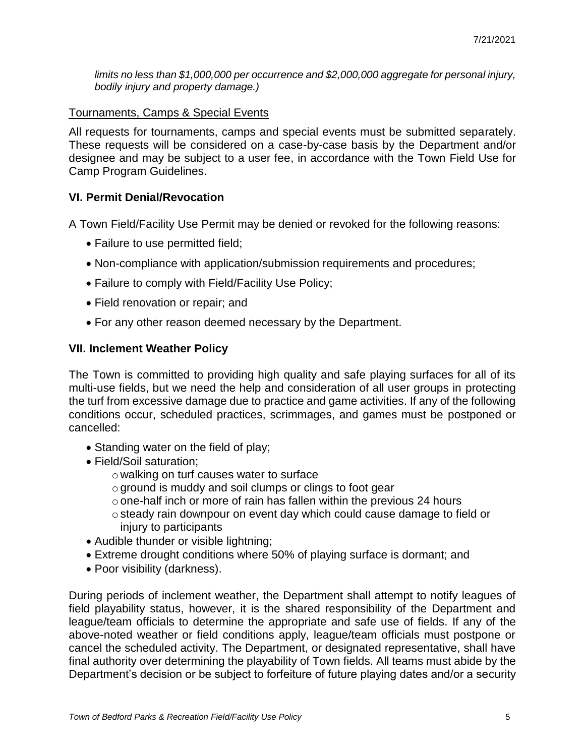*limits no less than \$1,000,000 per occurrence and \$2,000,000 aggregate for personal injury, bodily injury and property damage.)*

## Tournaments, Camps & Special Events

All requests for tournaments, camps and special events must be submitted separately. These requests will be considered on a case-by-case basis by the Department and/or designee and may be subject to a user fee, in accordance with the Town Field Use for Camp Program Guidelines.

## **VI. Permit Denial/Revocation**

A Town Field/Facility Use Permit may be denied or revoked for the following reasons:

- Failure to use permitted field;
- Non-compliance with application/submission requirements and procedures;
- Failure to comply with Field/Facility Use Policy;
- Field renovation or repair; and
- For any other reason deemed necessary by the Department.

#### **VII. Inclement Weather Policy**

The Town is committed to providing high quality and safe playing surfaces for all of its multi-use fields, but we need the help and consideration of all user groups in protecting the turf from excessive damage due to practice and game activities. If any of the following conditions occur, scheduled practices, scrimmages, and games must be postponed or cancelled:

- Standing water on the field of play;
- Field/Soil saturation;
	- o walking on turf causes water to surface
	- oground is muddy and soil clumps or clings to foot gear
	- oone-half inch or more of rain has fallen within the previous 24 hours
	- osteady rain downpour on event day which could cause damage to field or injury to participants
- Audible thunder or visible lightning;
- Extreme drought conditions where 50% of playing surface is dormant; and
- Poor visibility (darkness).

During periods of inclement weather, the Department shall attempt to notify leagues of field playability status, however, it is the shared responsibility of the Department and league/team officials to determine the appropriate and safe use of fields. If any of the above-noted weather or field conditions apply, league/team officials must postpone or cancel the scheduled activity. The Department, or designated representative, shall have final authority over determining the playability of Town fields. All teams must abide by the Department's decision or be subject to forfeiture of future playing dates and/or a security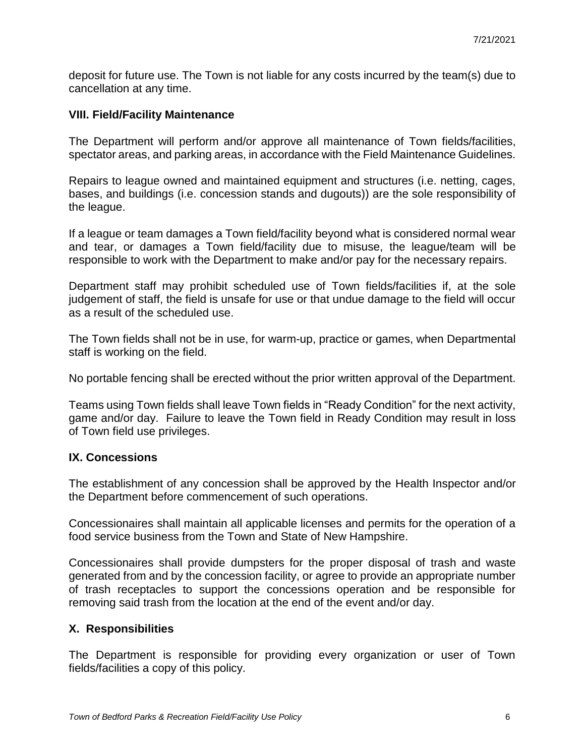deposit for future use. The Town is not liable for any costs incurred by the team(s) due to cancellation at any time.

#### **VIII. Field/Facility Maintenance**

The Department will perform and/or approve all maintenance of Town fields/facilities, spectator areas, and parking areas, in accordance with the Field Maintenance Guidelines.

Repairs to league owned and maintained equipment and structures (i.e. netting, cages, bases, and buildings (i.e. concession stands and dugouts)) are the sole responsibility of the league.

If a league or team damages a Town field/facility beyond what is considered normal wear and tear, or damages a Town field/facility due to misuse, the league/team will be responsible to work with the Department to make and/or pay for the necessary repairs.

Department staff may prohibit scheduled use of Town fields/facilities if, at the sole judgement of staff, the field is unsafe for use or that undue damage to the field will occur as a result of the scheduled use.

The Town fields shall not be in use, for warm-up, practice or games, when Departmental staff is working on the field.

No portable fencing shall be erected without the prior written approval of the Department.

Teams using Town fields shall leave Town fields in "Ready Condition" for the next activity, game and/or day. Failure to leave the Town field in Ready Condition may result in loss of Town field use privileges.

#### **IX. Concessions**

The establishment of any concession shall be approved by the Health Inspector and/or the Department before commencement of such operations.

Concessionaires shall maintain all applicable licenses and permits for the operation of a food service business from the Town and State of New Hampshire.

Concessionaires shall provide dumpsters for the proper disposal of trash and waste generated from and by the concession facility, or agree to provide an appropriate number of trash receptacles to support the concessions operation and be responsible for removing said trash from the location at the end of the event and/or day.

## **X. Responsibilities**

The Department is responsible for providing every organization or user of Town fields/facilities a copy of this policy.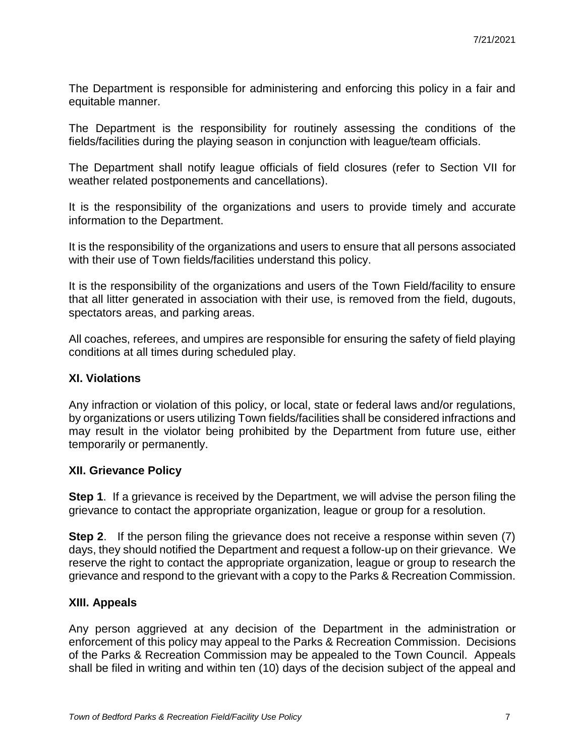The Department is responsible for administering and enforcing this policy in a fair and equitable manner.

The Department is the responsibility for routinely assessing the conditions of the fields/facilities during the playing season in conjunction with league/team officials.

The Department shall notify league officials of field closures (refer to Section VII for weather related postponements and cancellations).

It is the responsibility of the organizations and users to provide timely and accurate information to the Department.

It is the responsibility of the organizations and users to ensure that all persons associated with their use of Town fields/facilities understand this policy.

It is the responsibility of the organizations and users of the Town Field/facility to ensure that all litter generated in association with their use, is removed from the field, dugouts, spectators areas, and parking areas.

All coaches, referees, and umpires are responsible for ensuring the safety of field playing conditions at all times during scheduled play.

## **XI. Violations**

Any infraction or violation of this policy, or local, state or federal laws and/or regulations, by organizations or users utilizing Town fields/facilities shall be considered infractions and may result in the violator being prohibited by the Department from future use, either temporarily or permanently.

## **XII. Grievance Policy**

**Step 1**. If a grievance is received by the Department, we will advise the person filing the grievance to contact the appropriate organization, league or group for a resolution.

**Step 2**. If the person filing the grievance does not receive a response within seven (7) days, they should notified the Department and request a follow-up on their grievance. We reserve the right to contact the appropriate organization, league or group to research the grievance and respond to the grievant with a copy to the Parks & Recreation Commission.

## **XIII. Appeals**

Any person aggrieved at any decision of the Department in the administration or enforcement of this policy may appeal to the Parks & Recreation Commission. Decisions of the Parks & Recreation Commission may be appealed to the Town Council. Appeals shall be filed in writing and within ten (10) days of the decision subject of the appeal and